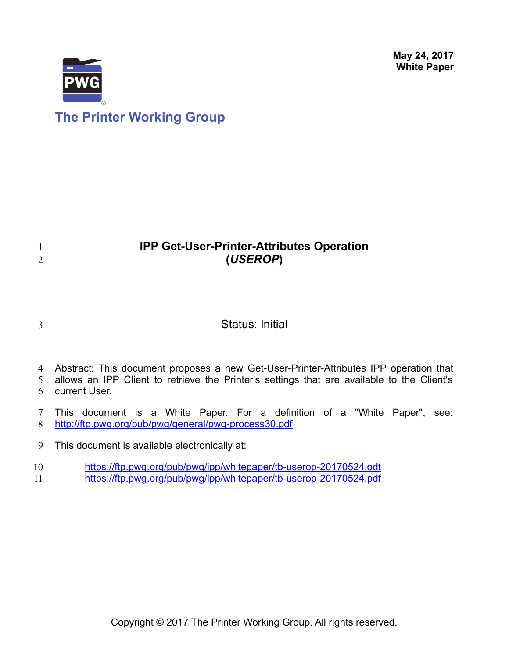**May 24, 2017 White Paper**



# **IPP Get-User-Printer-Attributes Operation (***USEROP***)**

3

1 2

# Status: Initial

4 Abstract: This document proposes a new Get-User-Printer-Attributes IPP operation that

allows an IPP Client to retrieve the Printer's settings that are available to the Client's current User. 5 6

This document is a White Paper. For a definition of a "White Paper", see: <http://ftp.pwg.org/pub/pwg/general/pwg-process30.pdf> 7 8

This document is available electronically at: 9

<https://ftp.pwg.org/pub/pwg/ipp/whitepaper/tb-userop-20170524.odt> 10

<https://ftp.pwg.org/pub/pwg/ipp/whitepaper/tb-userop-20170524.pdf> 11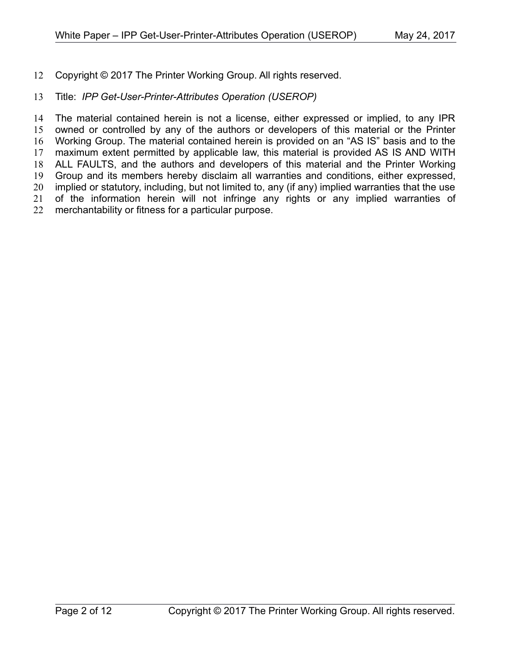Copyright © 2017 The Printer Working Group. All rights reserved. 12

#### Title: *IPP Get-User-Printer-Attributes Operation (USEROP)* 13

The material contained herein is not a license, either expressed or implied, to any IPR owned or controlled by any of the authors or developers of this material or the Printer Working Group. The material contained herein is provided on an "AS IS" basis and to the maximum extent permitted by applicable law, this material is provided AS IS AND WITH ALL FAULTS, and the authors and developers of this material and the Printer Working Group and its members hereby disclaim all warranties and conditions, either expressed, implied or statutory, including, but not limited to, any (if any) implied warranties that the use of the information herein will not infringe any rights or any implied warranties of merchantability or fitness for a particular purpose. 14 15 16 17 18 19 20 21 22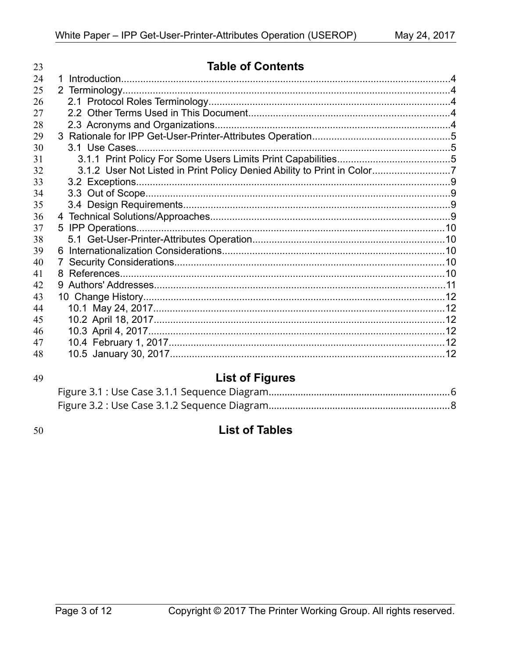| 23 | <b>Table of Contents</b>                                                |  |
|----|-------------------------------------------------------------------------|--|
| 24 | 1                                                                       |  |
| 25 |                                                                         |  |
| 26 |                                                                         |  |
| 27 |                                                                         |  |
| 28 |                                                                         |  |
| 29 |                                                                         |  |
| 30 |                                                                         |  |
| 31 |                                                                         |  |
| 32 | 3.1.2 User Not Listed in Print Policy Denied Ability to Print in Color7 |  |
| 33 |                                                                         |  |
| 34 |                                                                         |  |
| 35 |                                                                         |  |
| 36 |                                                                         |  |
| 37 |                                                                         |  |
| 38 |                                                                         |  |
| 39 |                                                                         |  |
| 40 | 7                                                                       |  |
| 41 |                                                                         |  |
| 42 |                                                                         |  |
| 43 |                                                                         |  |
| 44 |                                                                         |  |
| 45 |                                                                         |  |
| 46 |                                                                         |  |
| 47 |                                                                         |  |
| 48 |                                                                         |  |

# 49

# **List of Figures**

50

# **List of Tables**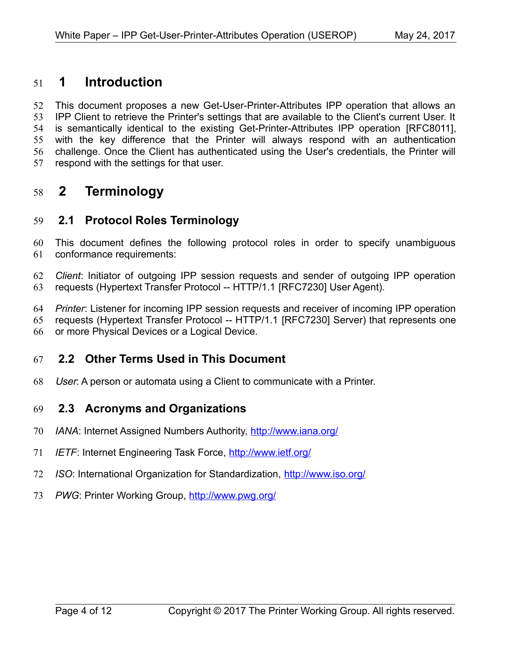# **1 Introduction** 51

This document proposes a new Get-User-Printer-Attributes IPP operation that allows an IPP Client to retrieve the Printer's settings that are available to the Client's current User. It is semantically identical to the existing Get-Printer-Attributes IPP operation [\[RFC8011\],](#page-10-0) with the key difference that the Printer will always respond with an authentication challenge. Once the Client has authenticated using the User's credentials, the Printer will respond with the settings for that user. 52 53 54 55 56 57

# **2 Terminology** 58

### **2.1 Protocol Roles Terminology** 59

This document defines the following protocol roles in order to specify unambiguous conformance requirements: 60 61

*Client*: Initiator of outgoing IPP session requests and sender of outgoing IPP operation requests (Hypertext Transfer Protocol -- HTTP/1.1 [\[RFC7230\]](#page-10-1) User Agent). 62 63

*Printer*: Listener for incoming IPP session requests and receiver of incoming IPP operation requests (Hypertext Transfer Protocol -- HTTP/1.1 [\[RFC7230\]](#page-10-1) Server) that represents one or more Physical Devices or a Logical Device. 64 65 66

#### **2.2 Other Terms Used in This Document** 67

User: A person or automata using a Client to communicate with a Printer. 68

#### **2.3 Acronyms and Organizations** 69

- *IANA*: Internet Assigned Numbers Authority,<http://www.iana.org/> 70
- *IETF*: Internet Engineering Task Force,<http://www.ietf.org/> 71
- *ISO*: International Organization for Standardization,<http://www.iso.org/> 72
- 73 PWG: Printer Working Group, **http://www.pwg.org/**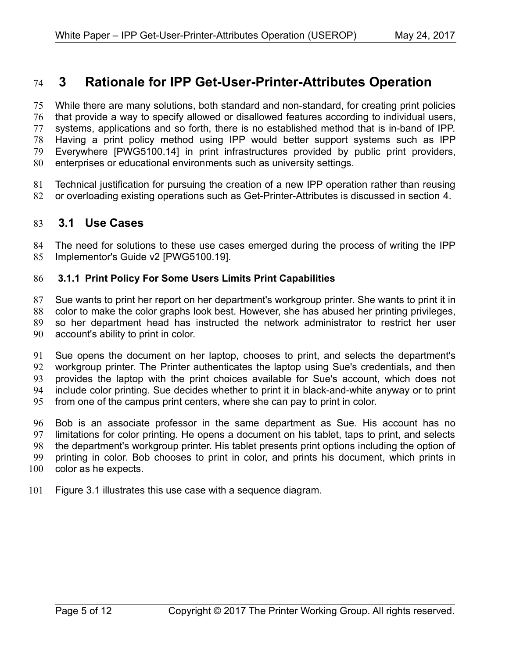# **3 Rationale for IPP Get-User-Printer-Attributes Operation** 74

While there are many solutions, both standard and non-standard, for creating print policies that provide a way to specify allowed or disallowed features according to individual users, systems, applications and so forth, there is no established method that is in-band of IPP. Having a print policy method using IPP would better support systems such as IPP Everywhere [\[PWG5100.14\]](#page-9-0) in print infrastructures provided by public print providers, enterprises or educational environments such as university settings. 75 76 77 78 79 80

Technical justification for pursuing the creation of a new IPP operation rather than reusing or overloading existing operations such as Get-Printer-Attributes is discussed in section [4.](#page-8-0) 81 82

#### <span id="page-4-0"></span> **3.1 Use Cases** 83

The need for solutions to these use cases emerged during the process of writing the IPP Implementor's Guide v2 [\[PWG5100.19\].](#page-10-2) 84 85

#### **3.1.1 Print Policy For Some Users Limits Print Capabilities** 86

Sue wants to print her report on her department's workgroup printer. She wants to print it in color to make the color graphs look best. However, she has abused her printing privileges, so her department head has instructed the network administrator to restrict her user account's ability to print in color. 87 88 89 90

Sue opens the document on her laptop, chooses to print, and selects the department's workgroup printer. The Printer authenticates the laptop using Sue's credentials, and then provides the laptop with the print choices available for Sue's account, which does not include color printing. Sue decides whether to print it in black-and-white anyway or to print from one of the campus print centers, where she can pay to print in color. 91 92 93 94 95

Bob is an associate professor in the same department as Sue. His account has no limitations for color printing. He opens a document on his tablet, taps to print, and selects the department's workgroup printer. His tablet presents print options including the option of printing in color. Bob chooses to print in color, and prints his document, which prints in color as he expects. 96 97 98 99 100

Figure [3.1](#page-5-0) illustrates this use case with a sequence diagram. 101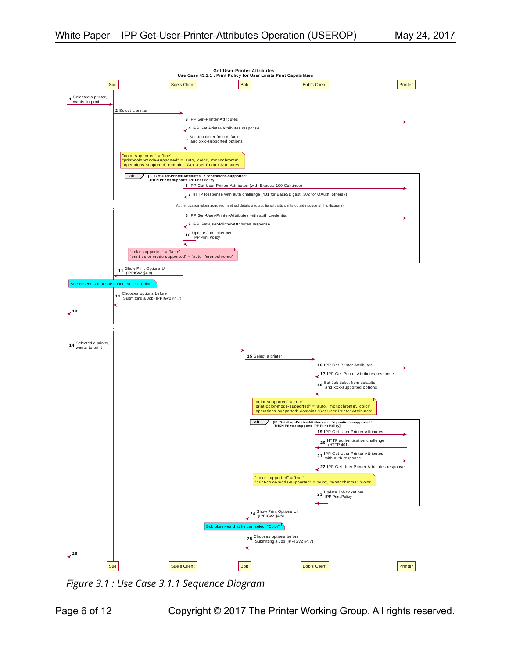



<span id="page-5-0"></span>*Figure 3.1 : Use Case 3.1.1 Sequence Diagram*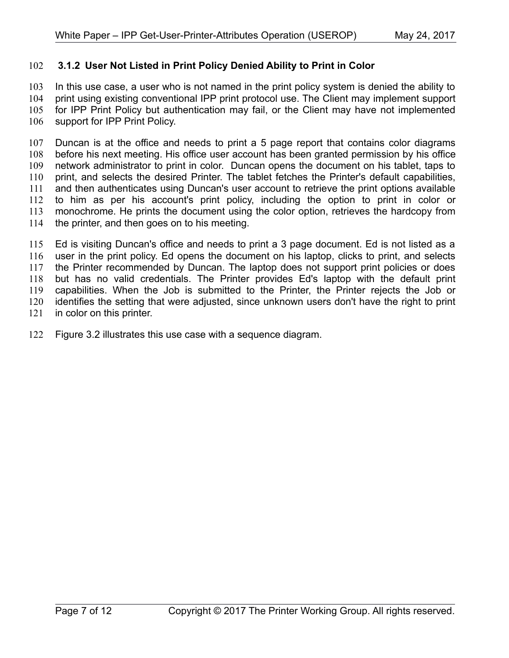#### **3.1.2 User Not Listed in Print Policy Denied Ability to Print in Color** 102

In this use case, a user who is not named in the print policy system is denied the ability to print using existing conventional IPP print protocol use. The Client may implement support for IPP Print Policy but authentication may fail, or the Client may have not implemented support for IPP Print Policy. 103 104 105 106

Duncan is at the office and needs to print a 5 page report that contains color diagrams before his next meeting. His office user account has been granted permission by his office network administrator to print in color. Duncan opens the document on his tablet, taps to print, and selects the desired Printer. The tablet fetches the Printer's default capabilities, and then authenticates using Duncan's user account to retrieve the print options available to him as per his account's print policy, including the option to print in color or monochrome. He prints the document using the color option, retrieves the hardcopy from the printer, and then goes on to his meeting. 107 108 109 110 111 112 113 114

Ed is visiting Duncan's office and needs to print a 3 page document. Ed is not listed as a user in the print policy. Ed opens the document on his laptop, clicks to print, and selects the Printer recommended by Duncan. The laptop does not support print policies or does but has no valid credentials. The Printer provides Ed's laptop with the default print capabilities. When the Job is submitted to the Printer, the Printer rejects the Job or identifies the setting that were adjusted, since unknown users don't have the right to print in color on this printer. 115 116 117 118 119 120 121

Figure [3.2](#page-7-0) illustrates this use case with a sequence diagram. 122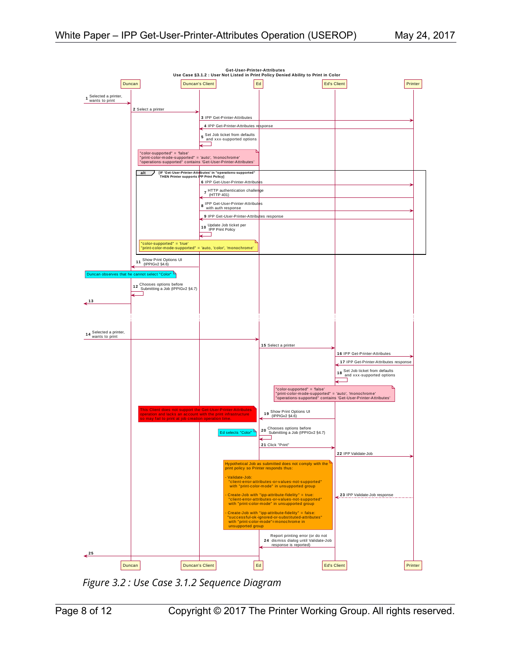

<span id="page-7-0"></span>*Figure 3.2 : Use Case 3.1.2 Sequence Diagram*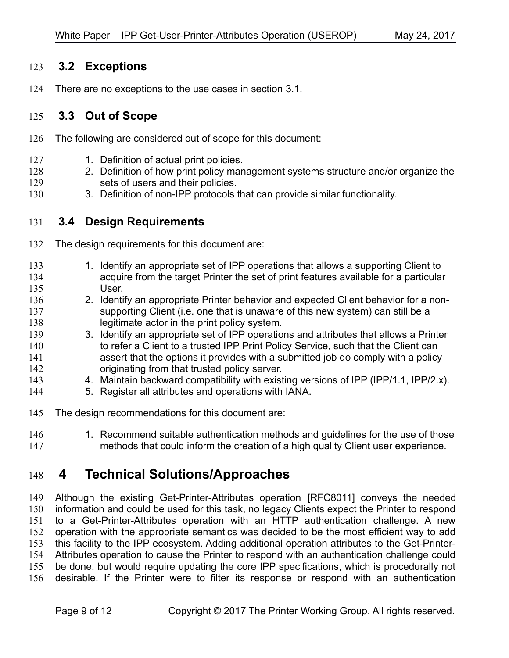#### **3.2 Exceptions** 123

There are no exceptions to the use cases in section [3.1.](#page-4-0) 124

#### **3.3 Out of Scope** 125

- The following are considered out of scope for this document: 126
- 1. Definition of actual print policies. 127
- 2. Definition of how print policy management systems structure and/or organize the sets of users and their policies. 128 129
- 3. Definition of non-IPP protocols that can provide similar functionality. 130

#### **3.4 Design Requirements** 131

- The design requirements for this document are: 132
- 1. Identify an appropriate set of IPP operations that allows a supporting Client to acquire from the target Printer the set of print features available for a particular User. 133 134 135
- 2. Identify an appropriate Printer behavior and expected Client behavior for a nonsupporting Client (i.e. one that is unaware of this new system) can still be a legitimate actor in the print policy system. 136 137 138
- 3. Identify an appropriate set of IPP operations and attributes that allows a Printer to refer a Client to a trusted IPP Print Policy Service, such that the Client can assert that the options it provides with a submitted job do comply with a policy originating from that trusted policy server. 139 140 141 142
- 4. Maintain backward compatibility with existing versions of IPP (IPP/1.1, IPP/2.x). 143
- 5. Register all attributes and operations with IANA. 144
- The design recommendations for this document are: 145
- 1. Recommend suitable authentication methods and guidelines for the use of those methods that could inform the creation of a high quality Client user experience. 146 147

## <span id="page-8-0"></span> **4 Technical Solutions/Approaches** 148

Although the existing Get-Printer-Attributes operation [\[RFC8011\]](#page-10-0) conveys the needed information and could be used for this task, no legacy Clients expect the Printer to respond to a Get-Printer-Attributes operation with an HTTP authentication challenge. A new operation with the appropriate semantics was decided to be the most efficient way to add this facility to the IPP ecosystem. Adding additional operation attributes to the Get-Printer-Attributes operation to cause the Printer to respond with an authentication challenge could be done, but would require updating the core IPP specifications, which is procedurally not desirable. If the Printer were to filter its response or respond with an authentication 149 150 151 152 153 154 155 156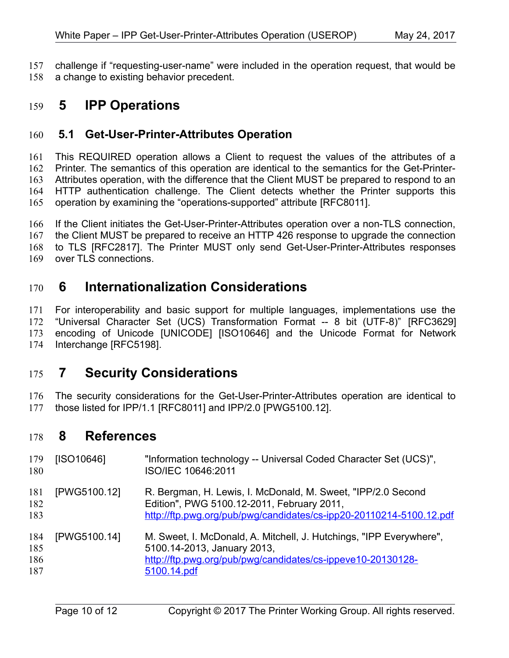challenge if "requesting-user-name" were included in the operation request, that would be a change to existing behavior precedent. 157 158

# **5 IPP Operations** 159

#### **5.1 Get-User-Printer-Attributes Operation** 160

This REQUIRED operation allows a Client to request the values of the attributes of a Printer. The semantics of this operation are identical to the semantics for the Get-Printer-Attributes operation, with the difference that the Client MUST be prepared to respond to an HTTP authentication challenge. The Client detects whether the Printer supports this operation by examining the "operations-supported" attribute [\[RFC8011\].](#page-10-0) 161 162 163 164 165

If the Client initiates the Get-User-Printer-Attributes operation over a non-TLS connection, the Client MUST be prepared to receive an HTTP 426 response to upgrade the connection to TLS [\[RFC2817\].](#page-10-6) The Printer MUST only send Get-User-Printer-Attributes responses over TLS connections. 166 167 168 169

# **6 Internationalization Considerations** 170

For interoperability and basic support for multiple languages, implementations use the "Universal Character Set (UCS) Transformation Format -- 8 bit (UTF-8)" [\[RFC3629\]](#page-10-5) encoding of Unicode [\[UNICODE\]](#page-10-4) [\[ISO10646\]](#page-9-2) and the Unicode Format for Network Interchange [\[RFC5198\].](#page-10-3) 171 172 173 174

## **7 Security Considerations** 175

The security considerations for the Get-User-Printer-Attributes operation are identical to those listed for IPP/1.1 [\[RFC8011\]](#page-10-0) and IPP/2.0 [\[PWG5100.12\].](#page-9-1) 176 177

## **8 References** 178

<span id="page-9-2"></span><span id="page-9-1"></span><span id="page-9-0"></span>

| 179<br>180               | [ISO10646]   | "Information technology -- Universal Coded Character Set (UCS)",<br>ISO/IEC 10646:2011                                                                                            |
|--------------------------|--------------|-----------------------------------------------------------------------------------------------------------------------------------------------------------------------------------|
| 181<br>182<br>183        | [PWG5100.12] | R. Bergman, H. Lewis, I. McDonald, M. Sweet, "IPP/2.0 Second<br>Edition", PWG 5100.12-2011, February 2011,<br>http://ftp.pwg.org/pub/pwg/candidates/cs-ipp20-20110214-5100.12.pdf |
| 184<br>185<br>186<br>187 | [PWG5100.14] | M. Sweet, I. McDonald, A. Mitchell, J. Hutchings, "IPP Everywhere",<br>5100.14-2013, January 2013,<br>http://ftp.pwg.org/pub/pwg/candidates/cs-ippeve10-20130128-<br>5100.14.pdf  |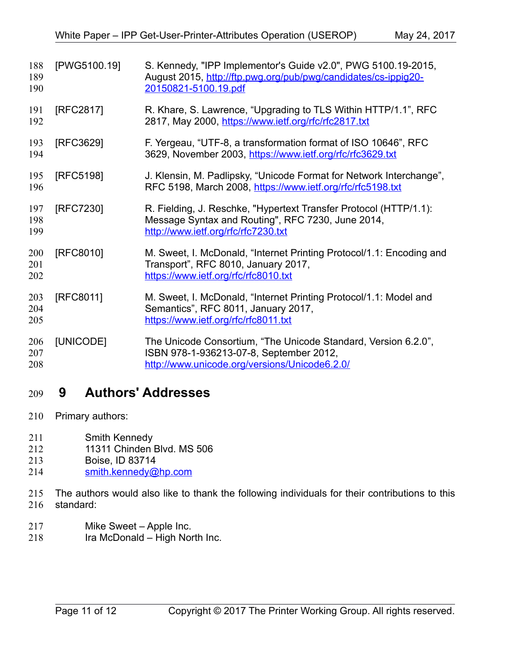<span id="page-10-6"></span><span id="page-10-5"></span><span id="page-10-3"></span><span id="page-10-2"></span><span id="page-10-1"></span>

| 188<br>189<br>190 | [PWG5100.19] | S. Kennedy, "IPP Implementor's Guide v2.0", PWG 5100.19-2015,<br>August 2015, http://ftp.pwg.org/pub/pwg/candidates/cs-ippig20-<br>20150821-5100.19.pdf       |
|-------------------|--------------|---------------------------------------------------------------------------------------------------------------------------------------------------------------|
| 191<br>192        | [RFC2817]    | R. Khare, S. Lawrence, "Upgrading to TLS Within HTTP/1.1", RFC<br>2817, May 2000, https://www.ietf.org/rfc/rfc2817.txt                                        |
| 193<br>194        | [RFC3629]    | F. Yergeau, "UTF-8, a transformation format of ISO 10646", RFC<br>3629, November 2003, https://www.ietf.org/rfc/rfc3629.txt                                   |
| 195<br>196        | [RFC5198]    | J. Klensin, M. Padlipsky, "Unicode Format for Network Interchange",<br>RFC 5198, March 2008, https://www.ietf.org/rfc/rfc5198.txt                             |
| 197<br>198<br>199 | [RFC7230]    | R. Fielding, J. Reschke, "Hypertext Transfer Protocol (HTTP/1.1):<br>Message Syntax and Routing", RFC 7230, June 2014,<br>http://www.ietf.org/rfc/rfc7230.txt |
| 200<br>201<br>202 | [RFC8010]    | M. Sweet, I. McDonald, "Internet Printing Protocol/1.1: Encoding and<br>Transport", RFC 8010, January 2017,<br>https://www.ietf.org/rfc/rfc8010.txt           |
| 203<br>204<br>205 | [RFC8011]    | M. Sweet, I. McDonald, "Internet Printing Protocol/1.1: Model and<br>Semantics", RFC 8011, January 2017,<br>https://www.ietf.org/rfc/rfc8011.txt              |
| 206<br>207<br>208 | [UNICODE]    | The Unicode Consortium, "The Unicode Standard, Version 6.2.0",<br>ISBN 978-1-936213-07-8, September 2012,<br>http://www.unicode.org/versions/Unicode6.2.0/    |

# <span id="page-10-4"></span><span id="page-10-0"></span> **9 Authors' Addresses** 209

- Primary authors: 210
- Smith Kennedy 211
- 11311 Chinden Blvd. MS 506 212
- Boise, ID 83714 213
- [smith.kennedy@hp.com](mailto:smith.kennedy@hp.com) 214
- The authors would also like to thank the following individuals for their contributions to this standard: 215 216
- Mike Sweet Apple Inc. 217
- Ira McDonald High North Inc. 218